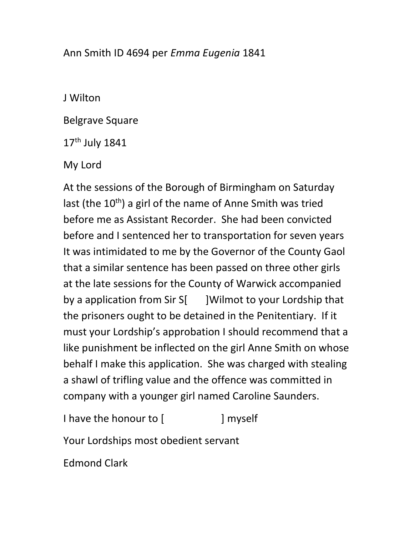## Ann Smith ID 4694 per Emma Eugenia 1841

J Wilton

Belgrave Square

17<sup>th</sup> July 1841

My Lord

At the sessions of the Borough of Birmingham on Saturday last (the  $10^{th}$ ) a girl of the name of Anne Smith was tried before me as Assistant Recorder. She had been convicted before and I sentenced her to transportation for seven years It was intimidated to me by the Governor of the County Gaol that a similar sentence has been passed on three other girls at the late sessions for the County of Warwick accompanied by a application from Sir S[ ]Wilmot to your Lordship that the prisoners ought to be detained in the Penitentiary. If it must your Lordship's approbation I should recommend that a like punishment be inflected on the girl Anne Smith on whose behalf I make this application. She was charged with stealing a shawl of trifling value and the offence was committed in company with a younger girl named Caroline Saunders.

I have the honour to [ ] myself

Your Lordships most obedient servant

Edmond Clark